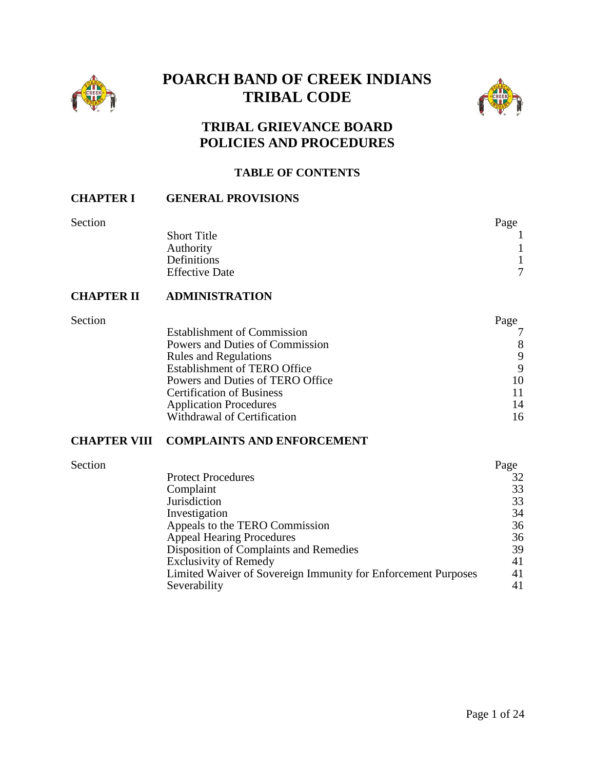

# **POARCH BAND OF CREEK INDIANS TRIBAL CODE**



# **TRIBAL GRIEVANCE BOARD POLICIES AND PROCEDURES**

#### **TABLE OF CONTENTS**

#### **CHAPTER I GENERAL PROVISIONS**

| Section |
|---------|
|         |
|         |

| Section |                       | Page          |
|---------|-----------------------|---------------|
|         | <b>Short Title</b>    |               |
|         | Authority             |               |
|         | Definitions           |               |
|         | <b>Effective Date</b> | $\mathcal{I}$ |
|         |                       |               |

### **CHAPTER II ADMINISTRATION**

| Section |                                     | Page |
|---------|-------------------------------------|------|
|         | <b>Establishment of Commission</b>  |      |
|         | Powers and Duties of Commission     | 8    |
|         | <b>Rules and Regulations</b>        | 9    |
|         | <b>Establishment of TERO Office</b> | 9    |
|         | Powers and Duties of TERO Office    | 10   |
|         | <b>Certification of Business</b>    | 11   |
|         | <b>Application Procedures</b>       | 14   |
|         | Withdrawal of Certification         | 16   |
|         |                                     |      |

# **CHAPTER VIII COMPLAINTS AND ENFORCEMENT**

| Section |                                                               | Page |
|---------|---------------------------------------------------------------|------|
|         | <b>Protect Procedures</b>                                     | 32   |
|         | Complaint                                                     | 33   |
|         | <b>Jurisdiction</b>                                           | 33   |
|         | Investigation                                                 | 34   |
|         | Appeals to the TERO Commission                                | 36   |
|         | <b>Appeal Hearing Procedures</b>                              | 36   |
|         | Disposition of Complaints and Remedies                        | 39   |
|         | <b>Exclusivity of Remedy</b>                                  | 41   |
|         | Limited Waiver of Sovereign Immunity for Enforcement Purposes | 41   |
|         | Severability                                                  | 41   |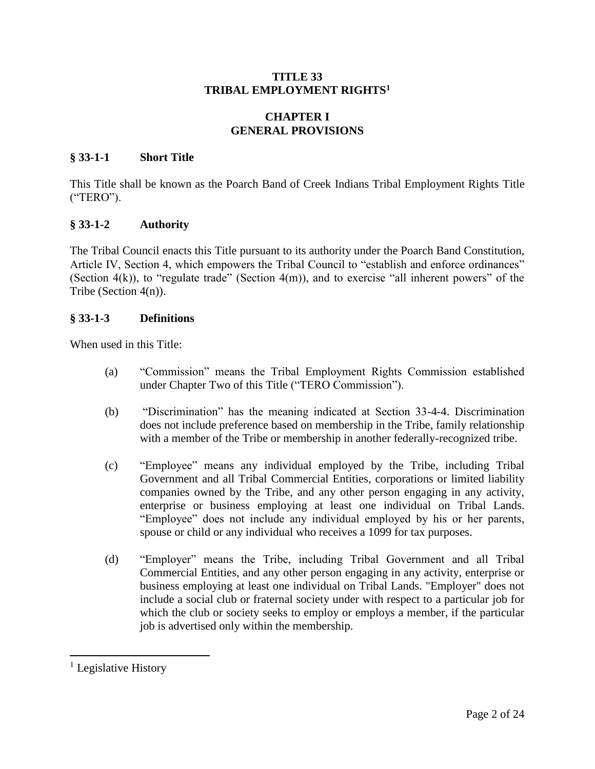# **TITLE 33 TRIBAL EMPLOYMENT RIGHTS<sup>1</sup>**

# **CHAPTER I GENERAL PROVISIONS**

#### **§ 33-1-1 Short Title**

This Title shall be known as the Poarch Band of Creek Indians Tribal Employment Rights Title ("TERO").

#### **§ 33-1-2 Authority**

The Tribal Council enacts this Title pursuant to its authority under the Poarch Band Constitution, Article IV, Section 4, which empowers the Tribal Council to "establish and enforce ordinances" (Section 4(k)), to "regulate trade" (Section 4(m)), and to exercise "all inherent powers" of the Tribe (Section 4(n)).

#### **§ 33-1-3 Definitions**

When used in this Title:

- (a) "Commission" means the Tribal Employment Rights Commission established under Chapter Two of this Title ("TERO Commission").
- (b) "Discrimination" has the meaning indicated at Section 33-4-4. Discrimination does not include preference based on membership in the Tribe, family relationship with a member of the Tribe or membership in another federally-recognized tribe.
- (c) "Employee" means any individual employed by the Tribe, including Tribal Government and all Tribal Commercial Entities, corporations or limited liability companies owned by the Tribe, and any other person engaging in any activity, enterprise or business employing at least one individual on Tribal Lands. "Employee" does not include any individual employed by his or her parents, spouse or child or any individual who receives a 1099 for tax purposes.
- (d) "Employer" means the Tribe, including Tribal Government and all Tribal Commercial Entities, and any other person engaging in any activity, enterprise or business employing at least one individual on Tribal Lands. "Employer" does not include a social club or fraternal society under with respect to a particular job for which the club or society seeks to employ or employs a member, if the particular job is advertised only within the membership.

 $\overline{a}$ 

<sup>&</sup>lt;sup>1</sup> Legislative History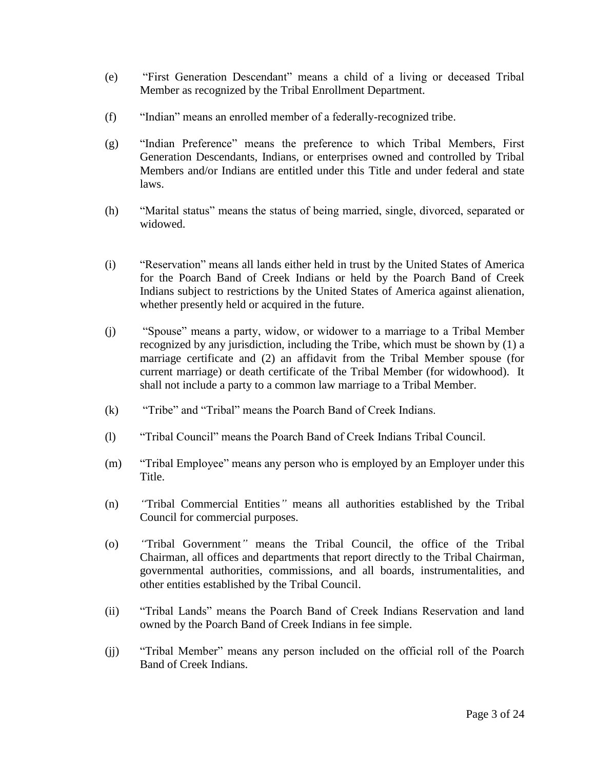- (e) "First Generation Descendant" means a child of a living or deceased Tribal Member as recognized by the Tribal Enrollment Department.
- (f) "Indian" means an enrolled member of a federally-recognized tribe.
- (g) "Indian Preference" means the preference to which Tribal Members, First Generation Descendants, Indians, or enterprises owned and controlled by Tribal Members and/or Indians are entitled under this Title and under federal and state laws.
- (h) "Marital status" means the status of being married, single, divorced, separated or widowed.
- (i) "Reservation" means all lands either held in trust by the United States of America for the Poarch Band of Creek Indians or held by the Poarch Band of Creek Indians subject to restrictions by the United States of America against alienation, whether presently held or acquired in the future.
- (j) "Spouse" means a party, widow, or widower to a marriage to a Tribal Member recognized by any jurisdiction, including the Tribe, which must be shown by (1) a marriage certificate and (2) an affidavit from the Tribal Member spouse (for current marriage) or death certificate of the Tribal Member (for widowhood). It shall not include a party to a common law marriage to a Tribal Member.
- (k) "Tribe" and "Tribal" means the Poarch Band of Creek Indians.
- (l) "Tribal Council" means the Poarch Band of Creek Indians Tribal Council.
- (m) "Tribal Employee" means any person who is employed by an Employer under this Title.
- (n) *"*Tribal Commercial Entities*"* means all authorities established by the Tribal Council for commercial purposes.
- (o) *"*Tribal Government*"* means the Tribal Council, the office of the Tribal Chairman, all offices and departments that report directly to the Tribal Chairman, governmental authorities, commissions, and all boards, instrumentalities, and other entities established by the Tribal Council.
- (ii) "Tribal Lands" means the Poarch Band of Creek Indians Reservation and land owned by the Poarch Band of Creek Indians in fee simple.
- (jj) "Tribal Member" means any person included on the official roll of the Poarch Band of Creek Indians.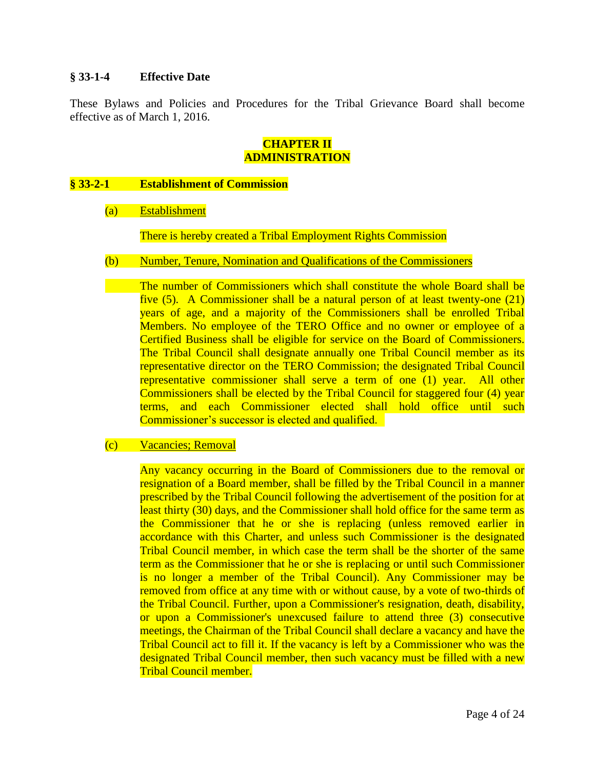# **§ 33-1-4 Effective Date**

These Bylaws and Policies and Procedures for the Tribal Grievance Board shall become effective as of March 1, 2016.

# **CHAPTER II ADMINISTRATION**

### **§ 33-2-1 Establishment of Commission**

(a) Establishment

There is hereby created a Tribal Employment Rights Commission

(b) Number, Tenure, Nomination and Qualifications of the Commissioners

The number of Commissioners which shall constitute the whole Board shall be five (5). A Commissioner shall be a natural person of at least twenty-one (21) years of age, and a majority of the Commissioners shall be enrolled Tribal Members. No employee of the TERO Office and no owner or employee of a Certified Business shall be eligible for service on the Board of Commissioners. The Tribal Council shall designate annually one Tribal Council member as its representative director on the TERO Commission; the designated Tribal Council representative commissioner shall serve a term of one (1) year. All other Commissioners shall be elected by the Tribal Council for staggered four (4) year terms, and each Commissioner elected shall hold office until such Commissioner's successor is elected and qualified.

#### (c) Vacancies; Removal

Any vacancy occurring in the Board of Commissioners due to the removal or resignation of a Board member, shall be filled by the Tribal Council in a manner prescribed by the Tribal Council following the advertisement of the position for at least thirty (30) days, and the Commissioner shall hold office for the same term as the Commissioner that he or she is replacing (unless removed earlier in accordance with this Charter, and unless such Commissioner is the designated Tribal Council member, in which case the term shall be the shorter of the same term as the Commissioner that he or she is replacing or until such Commissioner is no longer a member of the Tribal Council). Any Commissioner may be removed from office at any time with or without cause, by a vote of two-thirds of the Tribal Council. Further, upon a Commissioner's resignation, death, disability, or upon a Commissioner's unexcused failure to attend three (3) consecutive meetings, the Chairman of the Tribal Council shall declare a vacancy and have the Tribal Council act to fill it. If the vacancy is left by a Commissioner who was the designated Tribal Council member, then such vacancy must be filled with a new Tribal Council member.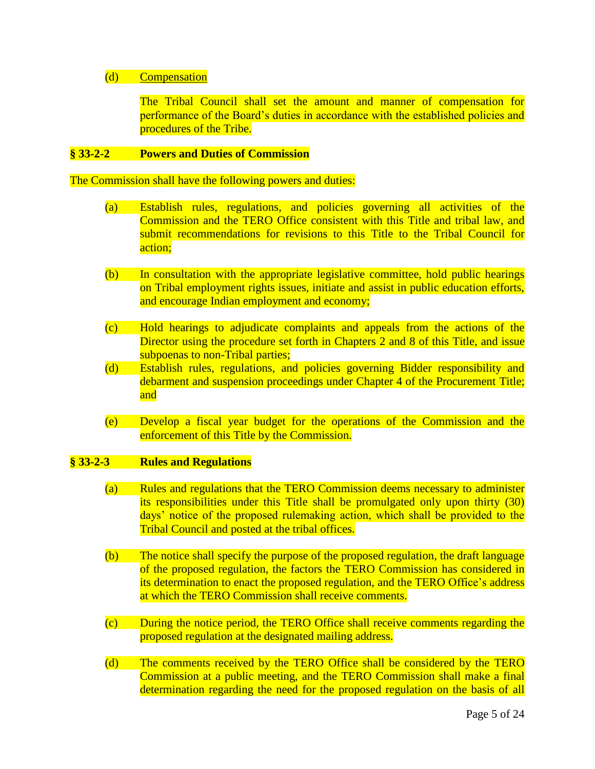#### (d) Compensation

The Tribal Council shall set the amount and manner of compensation for performance of the Board's duties in accordance with the established policies and procedures of the Tribe.

#### **§ 33-2-2 Powers and Duties of Commission**

The Commission shall have the following powers and duties:

- (a) Establish rules, regulations, and policies governing all activities of the Commission and the TERO Office consistent with this Title and tribal law, and submit recommendations for revisions to this Title to the Tribal Council for action;
- (b) In consultation with the appropriate legislative committee, hold public hearings on Tribal employment rights issues, initiate and assist in public education efforts, and encourage Indian employment and economy;
- (c) Hold hearings to adjudicate complaints and appeals from the actions of the Director using the procedure set forth in Chapters 2 and 8 of this Title, and issue subpoenas to non-Tribal parties;
- (d) Establish rules, regulations, and policies governing Bidder responsibility and debarment and suspension proceedings under Chapter 4 of the Procurement Title; and
- (e) Develop a fiscal year budget for the operations of the Commission and the enforcement of this Title by the Commission.

### **§ 33-2-3 Rules and Regulations**

- (a) Rules and regulations that the TERO Commission deems necessary to administer its responsibilities under this Title shall be promulgated only upon thirty (30) days' notice of the proposed rulemaking action, which shall be provided to the Tribal Council and posted at the tribal offices.
- (b) The notice shall specify the purpose of the proposed regulation, the draft language of the proposed regulation, the factors the TERO Commission has considered in its determination to enact the proposed regulation, and the TERO Office's address at which the TERO Commission shall receive comments.
- (c) During the notice period, the TERO Office shall receive comments regarding the proposed regulation at the designated mailing address.
- (d) The comments received by the TERO Office shall be considered by the TERO Commission at a public meeting, and the TERO Commission shall make a final determination regarding the need for the proposed regulation on the basis of all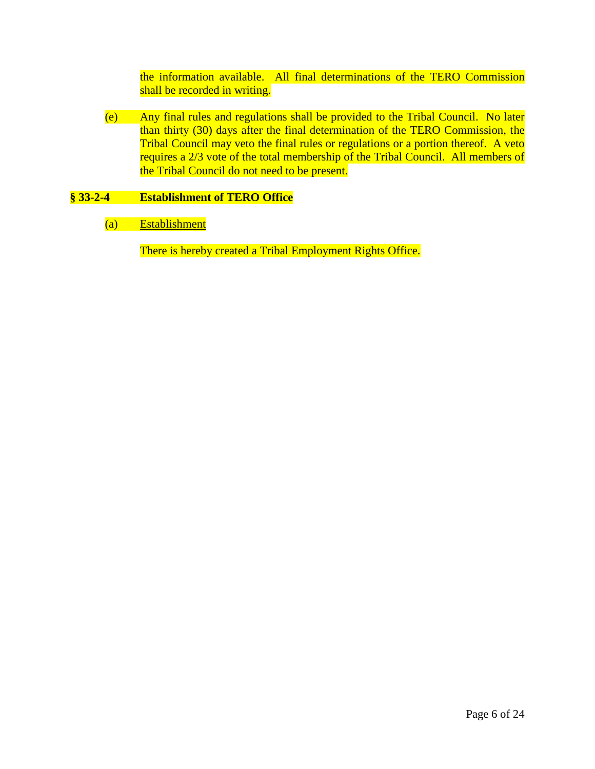the information available. All final determinations of the TERO Commission shall be recorded in writing.

(e) Any final rules and regulations shall be provided to the Tribal Council. No later than thirty (30) days after the final determination of the TERO Commission, the Tribal Council may veto the final rules or regulations or a portion thereof. A veto requires a 2/3 vote of the total membership of the Tribal Council. All members of the Tribal Council do not need to be present.

# **§ 33-2-4 Establishment of TERO Office**

(a) Establishment

There is hereby created a Tribal Employment Rights Office.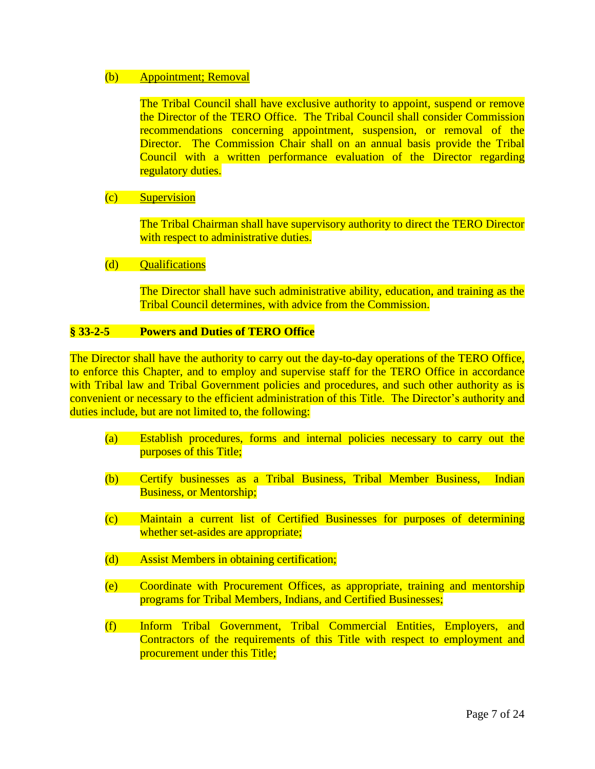#### (b) Appointment; Removal

The Tribal Council shall have exclusive authority to appoint, suspend or remove the Director of the TERO Office. The Tribal Council shall consider Commission recommendations concerning appointment, suspension, or removal of the Director. The Commission Chair shall on an annual basis provide the Tribal Council with a written performance evaluation of the Director regarding regulatory duties.

### (c) Supervision

The Tribal Chairman shall have supervisory authority to direct the TERO Director with respect to administrative duties.

### (d) Qualifications

The Director shall have such administrative ability, education, and training as the Tribal Council determines, with advice from the Commission.

### **§ 33-2-5 Powers and Duties of TERO Office**

The Director shall have the authority to carry out the day-to-day operations of the TERO Office, to enforce this Chapter, and to employ and supervise staff for the TERO Office in accordance with Tribal law and Tribal Government policies and procedures, and such other authority as is convenient or necessary to the efficient administration of this Title. The Director's authority and duties include, but are not limited to, the following:

- (a) Establish procedures, forms and internal policies necessary to carry out the purposes of this Title;
- (b) Certify businesses as a Tribal Business, Tribal Member Business, Indian Business, or Mentorship;
- (c) Maintain a current list of Certified Businesses for purposes of determining whether set-asides are appropriate;
- (d) Assist Members in obtaining certification;
- (e) Coordinate with Procurement Offices, as appropriate, training and mentorship programs for Tribal Members, Indians, and Certified Businesses;
- (f) Inform Tribal Government, Tribal Commercial Entities, Employers, and Contractors of the requirements of this Title with respect to employment and procurement under this Title;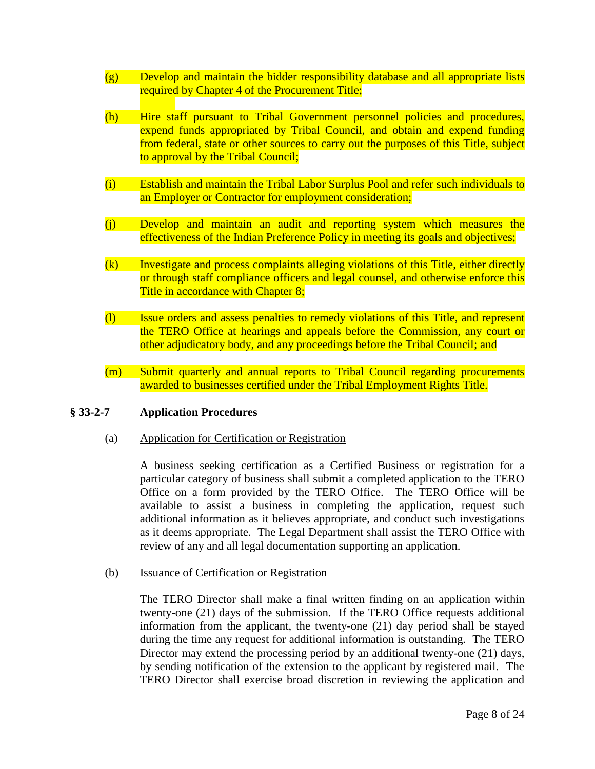- (g) Develop and maintain the bidder responsibility database and all appropriate lists required by Chapter 4 of the Procurement Title;
- (h) Hire staff pursuant to Tribal Government personnel policies and procedures, expend funds appropriated by Tribal Council, and obtain and expend funding from federal, state or other sources to carry out the purposes of this Title, subject to approval by the Tribal Council;
- (i) Establish and maintain the Tribal Labor Surplus Pool and refer such individuals to an Employer or Contractor for employment consideration;
- (j) Develop and maintain an audit and reporting system which measures the effectiveness of the Indian Preference Policy in meeting its goals and objectives;
- (k) Investigate and process complaints alleging violations of this Title, either directly or through staff compliance officers and legal counsel, and otherwise enforce this Title in accordance with Chapter 8;
- (l) Issue orders and assess penalties to remedy violations of this Title, and represent the TERO Office at hearings and appeals before the Commission, any court or other adjudicatory body, and any proceedings before the Tribal Council; and
- (m) Submit quarterly and annual reports to Tribal Council regarding procurements awarded to businesses certified under the Tribal Employment Rights Title.

### **§ 33-2-7 Application Procedures**

(a) Application for Certification or Registration

A business seeking certification as a Certified Business or registration for a particular category of business shall submit a completed application to the TERO Office on a form provided by the TERO Office. The TERO Office will be available to assist a business in completing the application, request such additional information as it believes appropriate, and conduct such investigations as it deems appropriate. The Legal Department shall assist the TERO Office with review of any and all legal documentation supporting an application.

(b) Issuance of Certification or Registration

The TERO Director shall make a final written finding on an application within twenty-one (21) days of the submission. If the TERO Office requests additional information from the applicant, the twenty-one (21) day period shall be stayed during the time any request for additional information is outstanding. The TERO Director may extend the processing period by an additional twenty-one (21) days, by sending notification of the extension to the applicant by registered mail. The TERO Director shall exercise broad discretion in reviewing the application and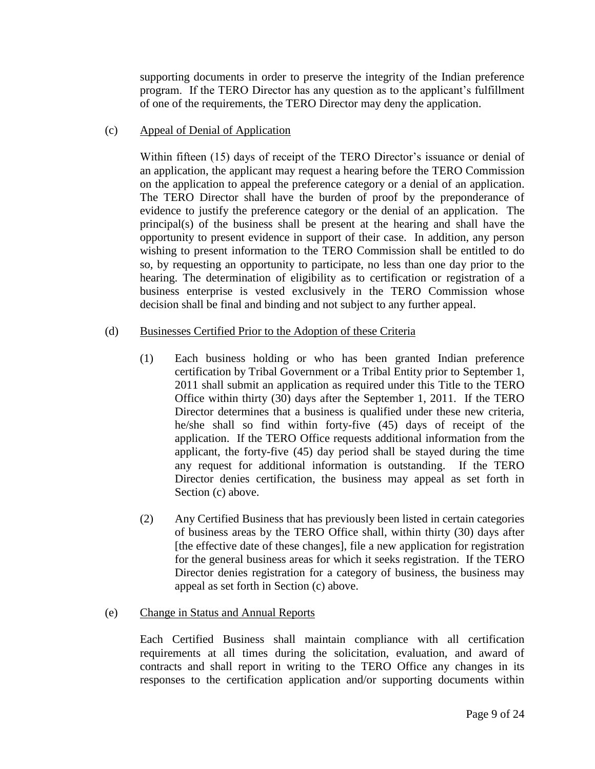supporting documents in order to preserve the integrity of the Indian preference program. If the TERO Director has any question as to the applicant's fulfillment of one of the requirements, the TERO Director may deny the application.

#### (c) Appeal of Denial of Application

Within fifteen (15) days of receipt of the TERO Director's issuance or denial of an application, the applicant may request a hearing before the TERO Commission on the application to appeal the preference category or a denial of an application. The TERO Director shall have the burden of proof by the preponderance of evidence to justify the preference category or the denial of an application. The principal(s) of the business shall be present at the hearing and shall have the opportunity to present evidence in support of their case. In addition, any person wishing to present information to the TERO Commission shall be entitled to do so, by requesting an opportunity to participate, no less than one day prior to the hearing. The determination of eligibility as to certification or registration of a business enterprise is vested exclusively in the TERO Commission whose decision shall be final and binding and not subject to any further appeal.

# (d) Businesses Certified Prior to the Adoption of these Criteria

- (1) Each business holding or who has been granted Indian preference certification by Tribal Government or a Tribal Entity prior to September 1, 2011 shall submit an application as required under this Title to the TERO Office within thirty (30) days after the September 1, 2011. If the TERO Director determines that a business is qualified under these new criteria, he/she shall so find within forty-five (45) days of receipt of the application. If the TERO Office requests additional information from the applicant, the forty-five (45) day period shall be stayed during the time any request for additional information is outstanding. If the TERO Director denies certification, the business may appeal as set forth in Section (c) above.
- (2) Any Certified Business that has previously been listed in certain categories of business areas by the TERO Office shall, within thirty (30) days after [the effective date of these changes], file a new application for registration for the general business areas for which it seeks registration. If the TERO Director denies registration for a category of business, the business may appeal as set forth in Section (c) above.

### (e) Change in Status and Annual Reports

Each Certified Business shall maintain compliance with all certification requirements at all times during the solicitation, evaluation, and award of contracts and shall report in writing to the TERO Office any changes in its responses to the certification application and/or supporting documents within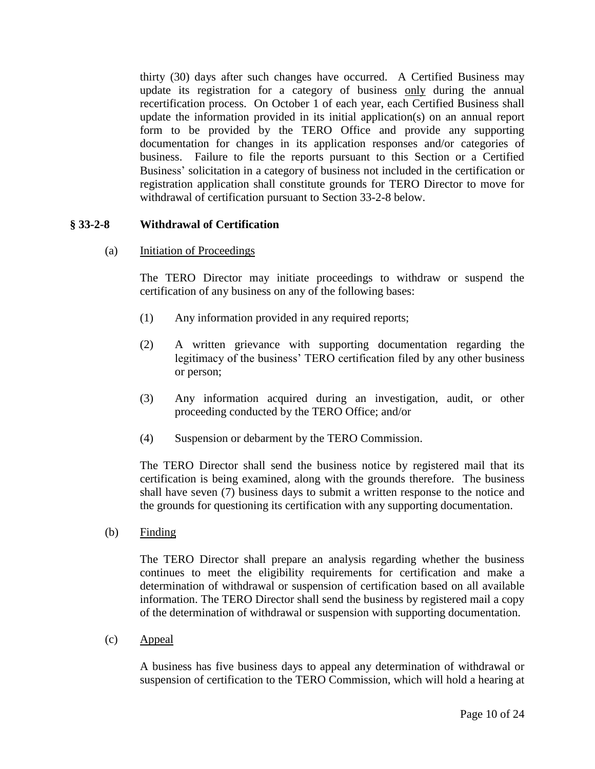thirty (30) days after such changes have occurred. A Certified Business may update its registration for a category of business only during the annual recertification process. On October 1 of each year, each Certified Business shall update the information provided in its initial application(s) on an annual report form to be provided by the TERO Office and provide any supporting documentation for changes in its application responses and/or categories of business. Failure to file the reports pursuant to this Section or a Certified Business' solicitation in a category of business not included in the certification or registration application shall constitute grounds for TERO Director to move for withdrawal of certification pursuant to Section 33-2-8 below.

# **§ 33-2-8 Withdrawal of Certification**

(a) Initiation of Proceedings

The TERO Director may initiate proceedings to withdraw or suspend the certification of any business on any of the following bases:

- (1) Any information provided in any required reports;
- (2) A written grievance with supporting documentation regarding the legitimacy of the business' TERO certification filed by any other business or person;
- (3) Any information acquired during an investigation, audit, or other proceeding conducted by the TERO Office; and/or
- (4) Suspension or debarment by the TERO Commission.

The TERO Director shall send the business notice by registered mail that its certification is being examined, along with the grounds therefore. The business shall have seven (7) business days to submit a written response to the notice and the grounds for questioning its certification with any supporting documentation.

(b) Finding

The TERO Director shall prepare an analysis regarding whether the business continues to meet the eligibility requirements for certification and make a determination of withdrawal or suspension of certification based on all available information. The TERO Director shall send the business by registered mail a copy of the determination of withdrawal or suspension with supporting documentation.

(c) Appeal

A business has five business days to appeal any determination of withdrawal or suspension of certification to the TERO Commission, which will hold a hearing at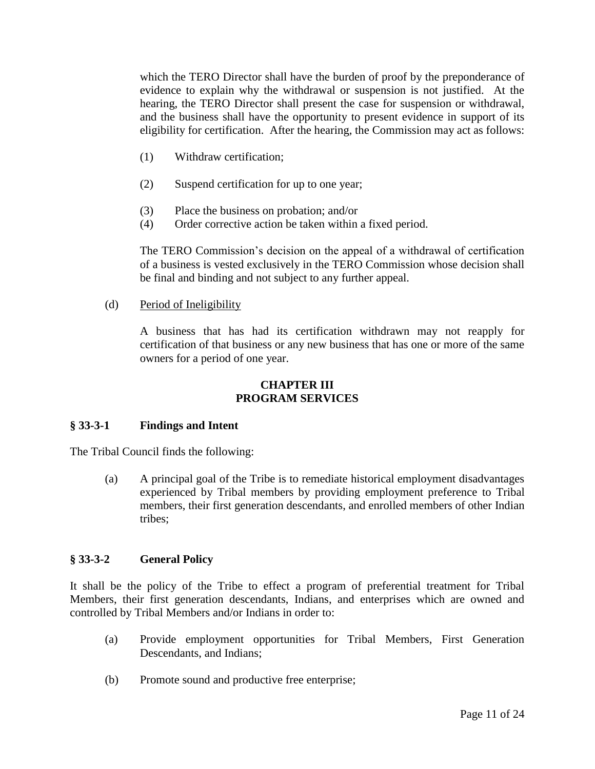which the TERO Director shall have the burden of proof by the preponderance of evidence to explain why the withdrawal or suspension is not justified. At the hearing, the TERO Director shall present the case for suspension or withdrawal, and the business shall have the opportunity to present evidence in support of its eligibility for certification. After the hearing, the Commission may act as follows:

- (1) Withdraw certification;
- (2) Suspend certification for up to one year;
- (3) Place the business on probation; and/or
- (4) Order corrective action be taken within a fixed period.

The TERO Commission's decision on the appeal of a withdrawal of certification of a business is vested exclusively in the TERO Commission whose decision shall be final and binding and not subject to any further appeal.

(d) Period of Ineligibility

A business that has had its certification withdrawn may not reapply for certification of that business or any new business that has one or more of the same owners for a period of one year.

# **CHAPTER III PROGRAM SERVICES**

# **§ 33-3-1 Findings and Intent**

The Tribal Council finds the following:

(a) A principal goal of the Tribe is to remediate historical employment disadvantages experienced by Tribal members by providing employment preference to Tribal members, their first generation descendants, and enrolled members of other Indian tribes;

# **§ 33-3-2 General Policy**

It shall be the policy of the Tribe to effect a program of preferential treatment for Tribal Members, their first generation descendants, Indians, and enterprises which are owned and controlled by Tribal Members and/or Indians in order to:

- (a) Provide employment opportunities for Tribal Members, First Generation Descendants, and Indians;
- (b) Promote sound and productive free enterprise;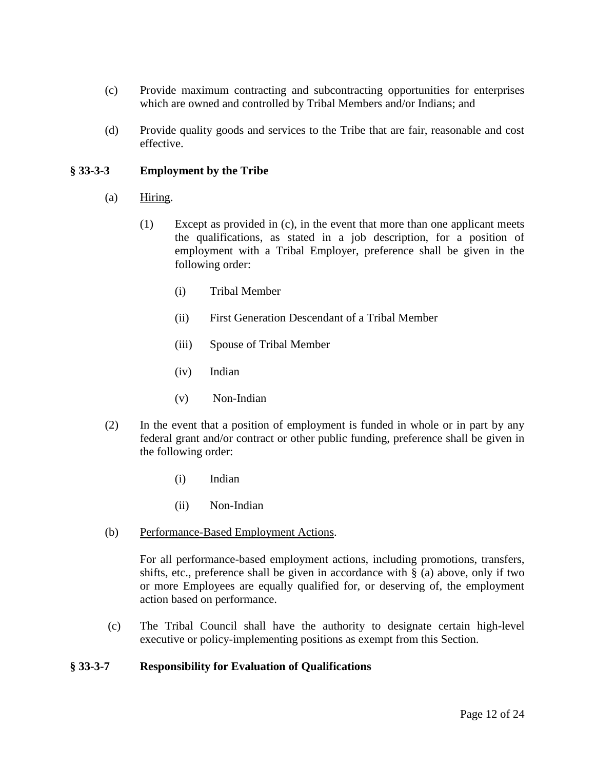- (c) Provide maximum contracting and subcontracting opportunities for enterprises which are owned and controlled by Tribal Members and/or Indians; and
- (d) Provide quality goods and services to the Tribe that are fair, reasonable and cost effective.

# **§ 33-3-3 Employment by the Tribe**

- (a) Hiring.
	- (1) Except as provided in (c), in the event that more than one applicant meets the qualifications, as stated in a job description, for a position of employment with a Tribal Employer, preference shall be given in the following order:
		- (i) Tribal Member
		- (ii) First Generation Descendant of a Tribal Member
		- (iii) Spouse of Tribal Member
		- (iv) Indian
		- (v) Non-Indian
- (2) In the event that a position of employment is funded in whole or in part by any federal grant and/or contract or other public funding, preference shall be given in the following order:
	- (i) Indian
	- (ii) Non-Indian
- (b) Performance-Based Employment Actions.

For all performance-based employment actions, including promotions, transfers, shifts, etc., preference shall be given in accordance with  $\S$  (a) above, only if two or more Employees are equally qualified for, or deserving of, the employment action based on performance.

(c) The Tribal Council shall have the authority to designate certain high-level executive or policy-implementing positions as exempt from this Section.

### **§ 33-3-7 Responsibility for Evaluation of Qualifications**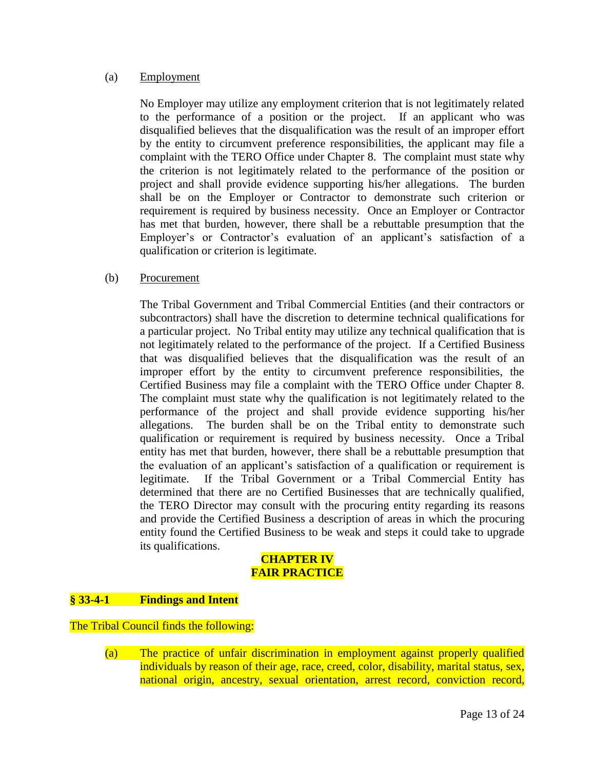#### (a) Employment

No Employer may utilize any employment criterion that is not legitimately related to the performance of a position or the project. If an applicant who was disqualified believes that the disqualification was the result of an improper effort by the entity to circumvent preference responsibilities, the applicant may file a complaint with the TERO Office under Chapter 8. The complaint must state why the criterion is not legitimately related to the performance of the position or project and shall provide evidence supporting his/her allegations. The burden shall be on the Employer or Contractor to demonstrate such criterion or requirement is required by business necessity. Once an Employer or Contractor has met that burden, however, there shall be a rebuttable presumption that the Employer's or Contractor's evaluation of an applicant's satisfaction of a qualification or criterion is legitimate.

### (b) Procurement

The Tribal Government and Tribal Commercial Entities (and their contractors or subcontractors) shall have the discretion to determine technical qualifications for a particular project. No Tribal entity may utilize any technical qualification that is not legitimately related to the performance of the project. If a Certified Business that was disqualified believes that the disqualification was the result of an improper effort by the entity to circumvent preference responsibilities, the Certified Business may file a complaint with the TERO Office under Chapter 8. The complaint must state why the qualification is not legitimately related to the performance of the project and shall provide evidence supporting his/her allegations. The burden shall be on the Tribal entity to demonstrate such qualification or requirement is required by business necessity. Once a Tribal entity has met that burden, however, there shall be a rebuttable presumption that the evaluation of an applicant's satisfaction of a qualification or requirement is legitimate. If the Tribal Government or a Tribal Commercial Entity has determined that there are no Certified Businesses that are technically qualified, the TERO Director may consult with the procuring entity regarding its reasons and provide the Certified Business a description of areas in which the procuring entity found the Certified Business to be weak and steps it could take to upgrade its qualifications.

# **CHAPTER IV FAIR PRACTICE**

### **§ 33-4-1 Findings and Intent**

The Tribal Council finds the following:

(a) The practice of unfair discrimination in employment against properly qualified individuals by reason of their age, race, creed, color, disability, marital status, sex, national origin, ancestry, sexual orientation, arrest record, conviction record,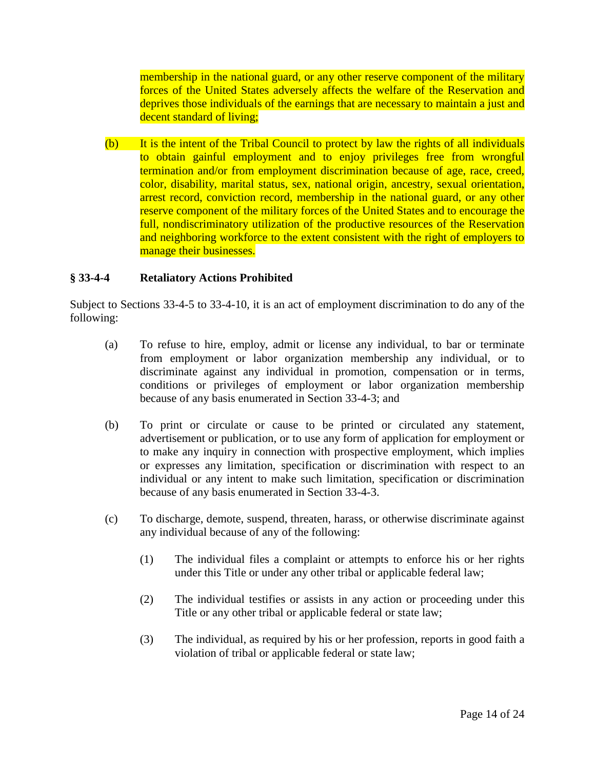membership in the national guard, or any other reserve component of the military forces of the United States adversely affects the welfare of the Reservation and deprives those individuals of the earnings that are necessary to maintain a just and decent standard of living;

(b) It is the intent of the Tribal Council to protect by law the rights of all individuals to obtain gainful employment and to enjoy privileges free from wrongful termination and/or from employment discrimination because of age, race, creed, color, disability, marital status, sex, national origin, ancestry, sexual orientation, arrest record, conviction record, membership in the national guard, or any other reserve component of the military forces of the United States and to encourage the full, nondiscriminatory utilization of the productive resources of the Reservation and neighboring workforce to the extent consistent with the right of employers to manage their businesses.

# **§ 33-4-4 Retaliatory Actions Prohibited**

Subject to Sections 33-4-5 to 33-4-10, it is an act of employment discrimination to do any of the following:

- (a) To refuse to hire, employ, admit or license any individual, to bar or terminate from employment or labor organization membership any individual, or to discriminate against any individual in promotion, compensation or in terms, conditions or privileges of employment or labor organization membership because of any basis enumerated in Section 33-4-3; and
- (b) To print or circulate or cause to be printed or circulated any statement, advertisement or publication, or to use any form of application for employment or to make any inquiry in connection with prospective employment, which implies or expresses any limitation, specification or discrimination with respect to an individual or any intent to make such limitation, specification or discrimination because of any basis enumerated in Section 33-4-3.
- (c) To discharge, demote, suspend, threaten, harass, or otherwise discriminate against any individual because of any of the following:
	- (1) The individual files a complaint or attempts to enforce his or her rights under this Title or under any other tribal or applicable federal law;
	- (2) The individual testifies or assists in any action or proceeding under this Title or any other tribal or applicable federal or state law;
	- (3) The individual, as required by his or her profession, reports in good faith a violation of tribal or applicable federal or state law;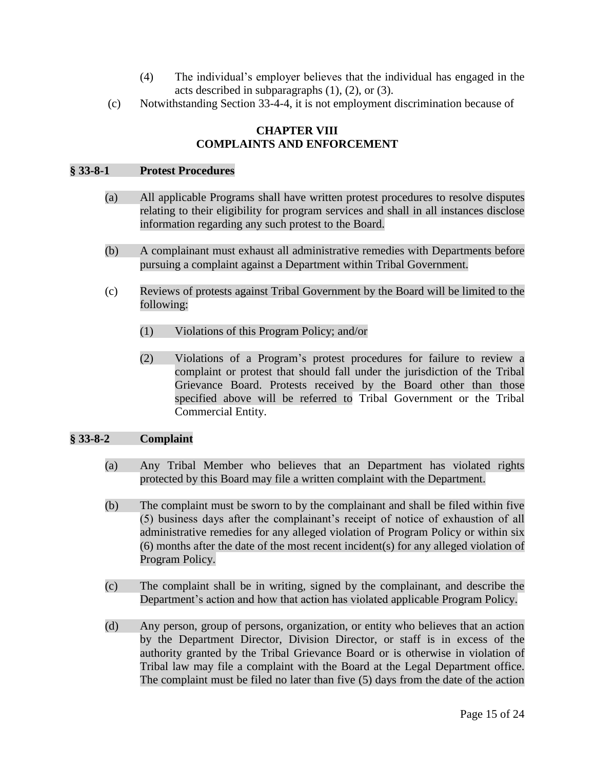- (4) The individual's employer believes that the individual has engaged in the acts described in subparagraphs (1), (2), or (3).
- (c) Notwithstanding Section 33-4-4, it is not employment discrimination because of

# **CHAPTER VIII COMPLAINTS AND ENFORCEMENT**

#### **§ 33-8-1 Protest Procedures**

- (a) All applicable Programs shall have written protest procedures to resolve disputes relating to their eligibility for program services and shall in all instances disclose information regarding any such protest to the Board.
- (b) A complainant must exhaust all administrative remedies with Departments before pursuing a complaint against a Department within Tribal Government.
- (c) Reviews of protests against Tribal Government by the Board will be limited to the following:
	- (1) Violations of this Program Policy; and/or
	- (2) Violations of a Program's protest procedures for failure to review a complaint or protest that should fall under the jurisdiction of the Tribal Grievance Board. Protests received by the Board other than those specified above will be referred to Tribal Government or the Tribal Commercial Entity.

### **§ 33-8-2 Complaint**

- (a) Any Tribal Member who believes that an Department has violated rights protected by this Board may file a written complaint with the Department.
- (b) The complaint must be sworn to by the complainant and shall be filed within five (5) business days after the complainant's receipt of notice of exhaustion of all administrative remedies for any alleged violation of Program Policy or within six (6) months after the date of the most recent incident(s) for any alleged violation of Program Policy.
- (c) The complaint shall be in writing, signed by the complainant, and describe the Department's action and how that action has violated applicable Program Policy.
- (d) Any person, group of persons, organization, or entity who believes that an action by the Department Director, Division Director, or staff is in excess of the authority granted by the Tribal Grievance Board or is otherwise in violation of Tribal law may file a complaint with the Board at the Legal Department office. The complaint must be filed no later than five (5) days from the date of the action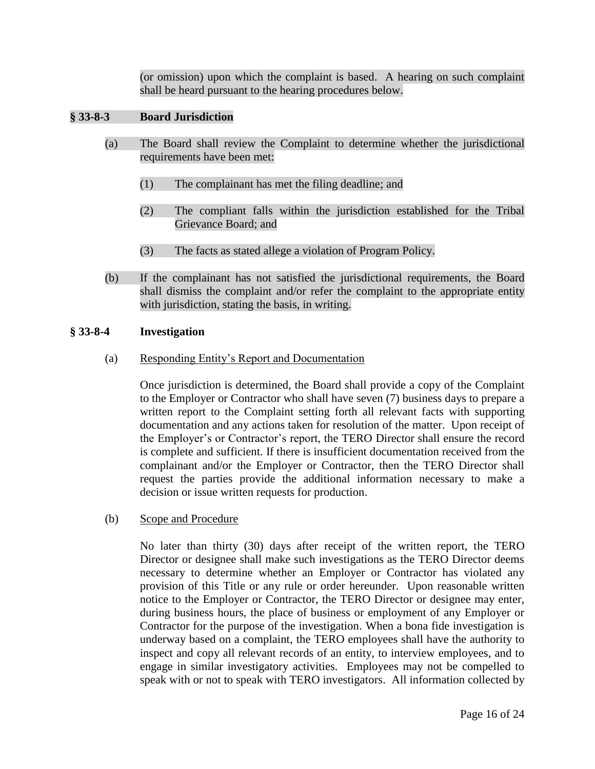(or omission) upon which the complaint is based. A hearing on such complaint shall be heard pursuant to the hearing procedures below.

# **§ 33-8-3 Board Jurisdiction**

- (a) The Board shall review the Complaint to determine whether the jurisdictional requirements have been met:
	- (1) The complainant has met the filing deadline; and
	- (2) The compliant falls within the jurisdiction established for the Tribal Grievance Board; and
	- (3) The facts as stated allege a violation of Program Policy.
- (b) If the complainant has not satisfied the jurisdictional requirements, the Board shall dismiss the complaint and/or refer the complaint to the appropriate entity with jurisdiction, stating the basis, in writing.

### **§ 33-8-4 Investigation**

(a) Responding Entity's Report and Documentation

Once jurisdiction is determined, the Board shall provide a copy of the Complaint to the Employer or Contractor who shall have seven (7) business days to prepare a written report to the Complaint setting forth all relevant facts with supporting documentation and any actions taken for resolution of the matter. Upon receipt of the Employer's or Contractor's report, the TERO Director shall ensure the record is complete and sufficient. If there is insufficient documentation received from the complainant and/or the Employer or Contractor, then the TERO Director shall request the parties provide the additional information necessary to make a decision or issue written requests for production.

(b) Scope and Procedure

No later than thirty (30) days after receipt of the written report, the TERO Director or designee shall make such investigations as the TERO Director deems necessary to determine whether an Employer or Contractor has violated any provision of this Title or any rule or order hereunder. Upon reasonable written notice to the Employer or Contractor, the TERO Director or designee may enter, during business hours, the place of business or employment of any Employer or Contractor for the purpose of the investigation. When a bona fide investigation is underway based on a complaint, the TERO employees shall have the authority to inspect and copy all relevant records of an entity, to interview employees, and to engage in similar investigatory activities. Employees may not be compelled to speak with or not to speak with TERO investigators. All information collected by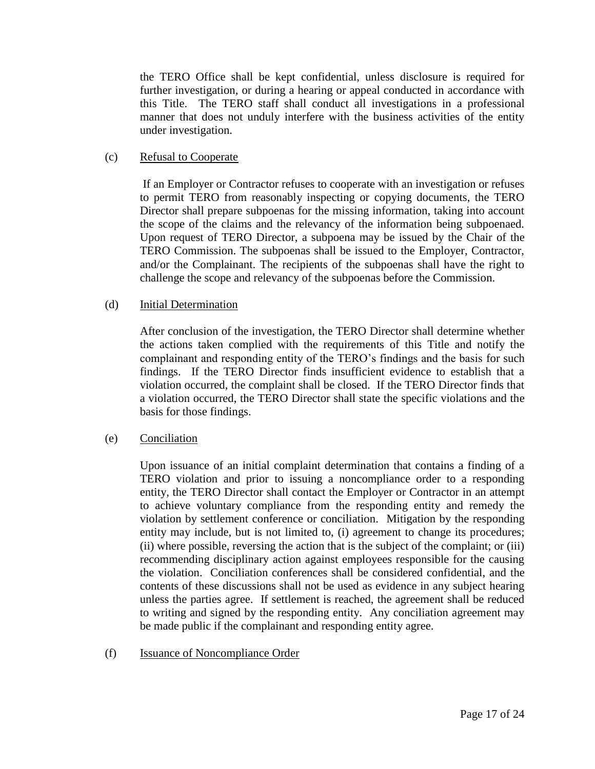the TERO Office shall be kept confidential, unless disclosure is required for further investigation, or during a hearing or appeal conducted in accordance with this Title. The TERO staff shall conduct all investigations in a professional manner that does not unduly interfere with the business activities of the entity under investigation.

# (c) Refusal to Cooperate

If an Employer or Contractor refuses to cooperate with an investigation or refuses to permit TERO from reasonably inspecting or copying documents, the TERO Director shall prepare subpoenas for the missing information, taking into account the scope of the claims and the relevancy of the information being subpoenaed. Upon request of TERO Director, a subpoena may be issued by the Chair of the TERO Commission. The subpoenas shall be issued to the Employer, Contractor, and/or the Complainant. The recipients of the subpoenas shall have the right to challenge the scope and relevancy of the subpoenas before the Commission.

# (d) Initial Determination

After conclusion of the investigation, the TERO Director shall determine whether the actions taken complied with the requirements of this Title and notify the complainant and responding entity of the TERO's findings and the basis for such findings. If the TERO Director finds insufficient evidence to establish that a violation occurred, the complaint shall be closed. If the TERO Director finds that a violation occurred, the TERO Director shall state the specific violations and the basis for those findings.

### (e) Conciliation

Upon issuance of an initial complaint determination that contains a finding of a TERO violation and prior to issuing a noncompliance order to a responding entity, the TERO Director shall contact the Employer or Contractor in an attempt to achieve voluntary compliance from the responding entity and remedy the violation by settlement conference or conciliation. Mitigation by the responding entity may include, but is not limited to, (i) agreement to change its procedures; (ii) where possible, reversing the action that is the subject of the complaint; or (iii) recommending disciplinary action against employees responsible for the causing the violation. Conciliation conferences shall be considered confidential, and the contents of these discussions shall not be used as evidence in any subject hearing unless the parties agree. If settlement is reached, the agreement shall be reduced to writing and signed by the responding entity. Any conciliation agreement may be made public if the complainant and responding entity agree.

(f) Issuance of Noncompliance Order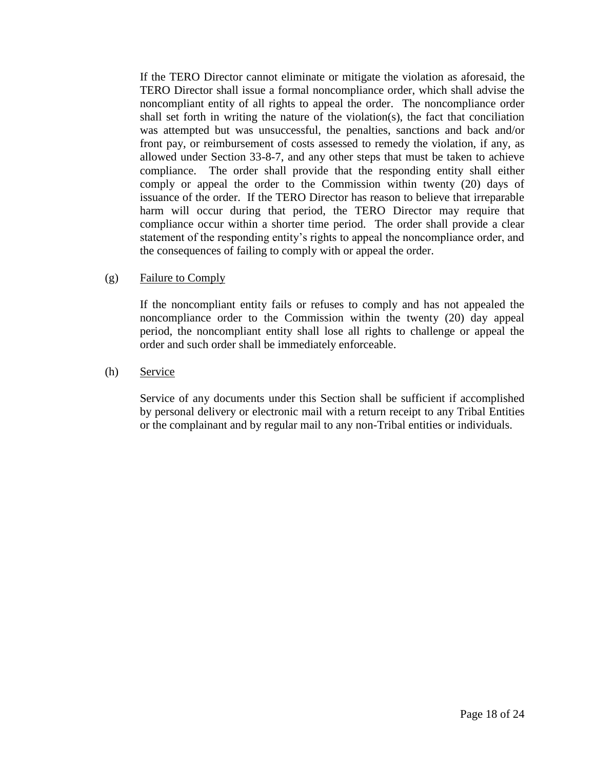If the TERO Director cannot eliminate or mitigate the violation as aforesaid, the TERO Director shall issue a formal noncompliance order, which shall advise the noncompliant entity of all rights to appeal the order. The noncompliance order shall set forth in writing the nature of the violation(s), the fact that conciliation was attempted but was unsuccessful, the penalties, sanctions and back and/or front pay, or reimbursement of costs assessed to remedy the violation, if any, as allowed under Section 33-8-7, and any other steps that must be taken to achieve compliance. The order shall provide that the responding entity shall either comply or appeal the order to the Commission within twenty (20) days of issuance of the order. If the TERO Director has reason to believe that irreparable harm will occur during that period, the TERO Director may require that compliance occur within a shorter time period. The order shall provide a clear statement of the responding entity's rights to appeal the noncompliance order, and the consequences of failing to comply with or appeal the order.

### (g) Failure to Comply

If the noncompliant entity fails or refuses to comply and has not appealed the noncompliance order to the Commission within the twenty (20) day appeal period, the noncompliant entity shall lose all rights to challenge or appeal the order and such order shall be immediately enforceable.

#### (h) Service

Service of any documents under this Section shall be sufficient if accomplished by personal delivery or electronic mail with a return receipt to any Tribal Entities or the complainant and by regular mail to any non-Tribal entities or individuals.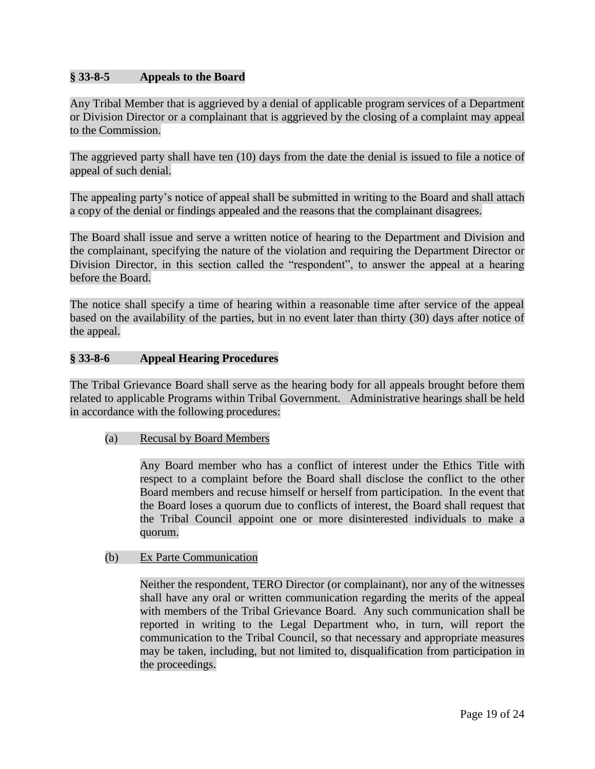# **§ 33-8-5 Appeals to the Board**

Any Tribal Member that is aggrieved by a denial of applicable program services of a Department or Division Director or a complainant that is aggrieved by the closing of a complaint may appeal to the Commission.

The aggrieved party shall have ten (10) days from the date the denial is issued to file a notice of appeal of such denial.

The appealing party's notice of appeal shall be submitted in writing to the Board and shall attach a copy of the denial or findings appealed and the reasons that the complainant disagrees.

The Board shall issue and serve a written notice of hearing to the Department and Division and the complainant, specifying the nature of the violation and requiring the Department Director or Division Director, in this section called the "respondent", to answer the appeal at a hearing before the Board.

The notice shall specify a time of hearing within a reasonable time after service of the appeal based on the availability of the parties, but in no event later than thirty (30) days after notice of the appeal.

### **§ 33-8-6 Appeal Hearing Procedures**

The Tribal Grievance Board shall serve as the hearing body for all appeals brought before them related to applicable Programs within Tribal Government. Administrative hearings shall be held in accordance with the following procedures:

### (a) Recusal by Board Members

Any Board member who has a conflict of interest under the Ethics Title with respect to a complaint before the Board shall disclose the conflict to the other Board members and recuse himself or herself from participation. In the event that the Board loses a quorum due to conflicts of interest, the Board shall request that the Tribal Council appoint one or more disinterested individuals to make a quorum.

#### (b) Ex Parte Communication

Neither the respondent, TERO Director (or complainant), nor any of the witnesses shall have any oral or written communication regarding the merits of the appeal with members of the Tribal Grievance Board. Any such communication shall be reported in writing to the Legal Department who, in turn, will report the communication to the Tribal Council, so that necessary and appropriate measures may be taken, including, but not limited to, disqualification from participation in the proceedings.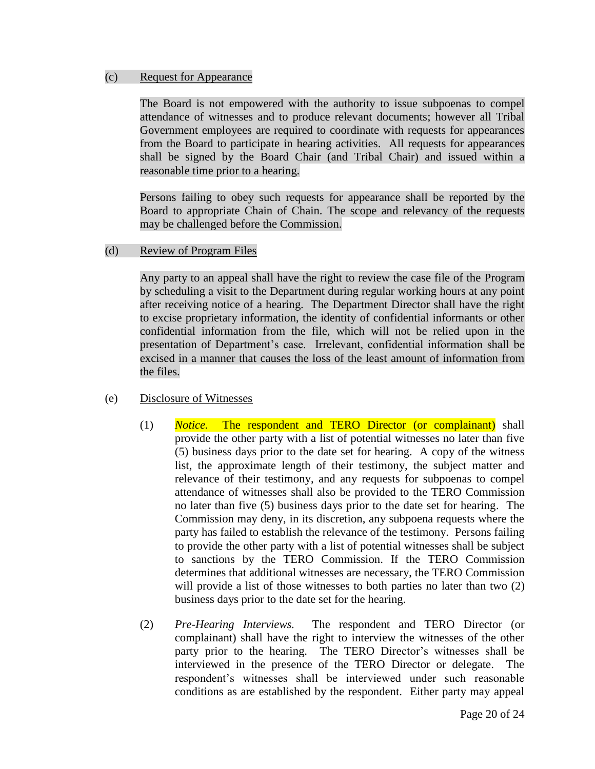#### (c) Request for Appearance

The Board is not empowered with the authority to issue subpoenas to compel attendance of witnesses and to produce relevant documents; however all Tribal Government employees are required to coordinate with requests for appearances from the Board to participate in hearing activities. All requests for appearances shall be signed by the Board Chair (and Tribal Chair) and issued within a reasonable time prior to a hearing.

Persons failing to obey such requests for appearance shall be reported by the Board to appropriate Chain of Chain. The scope and relevancy of the requests may be challenged before the Commission.

### (d) Review of Program Files

Any party to an appeal shall have the right to review the case file of the Program by scheduling a visit to the Department during regular working hours at any point after receiving notice of a hearing. The Department Director shall have the right to excise proprietary information, the identity of confidential informants or other confidential information from the file, which will not be relied upon in the presentation of Department's case. Irrelevant, confidential information shall be excised in a manner that causes the loss of the least amount of information from the files.

### (e) Disclosure of Witnesses

- (1) *Notice.* The respondent and TERO Director (or complainant) shall provide the other party with a list of potential witnesses no later than five (5) business days prior to the date set for hearing. A copy of the witness list, the approximate length of their testimony, the subject matter and relevance of their testimony, and any requests for subpoenas to compel attendance of witnesses shall also be provided to the TERO Commission no later than five (5) business days prior to the date set for hearing. The Commission may deny, in its discretion, any subpoena requests where the party has failed to establish the relevance of the testimony. Persons failing to provide the other party with a list of potential witnesses shall be subject to sanctions by the TERO Commission. If the TERO Commission determines that additional witnesses are necessary, the TERO Commission will provide a list of those witnesses to both parties no later than two  $(2)$ business days prior to the date set for the hearing.
- (2) *Pre-Hearing Interviews.* The respondent and TERO Director (or complainant) shall have the right to interview the witnesses of the other party prior to the hearing. The TERO Director's witnesses shall be interviewed in the presence of the TERO Director or delegate. The respondent's witnesses shall be interviewed under such reasonable conditions as are established by the respondent. Either party may appeal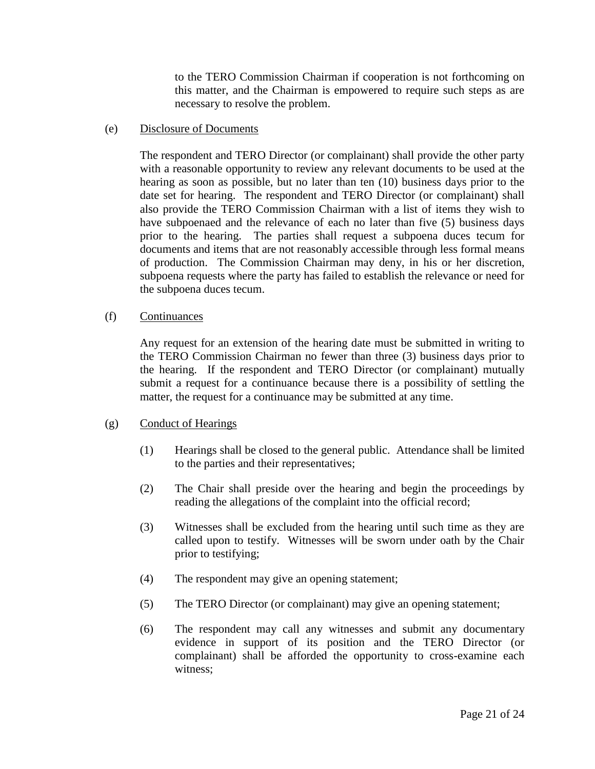to the TERO Commission Chairman if cooperation is not forthcoming on this matter, and the Chairman is empowered to require such steps as are necessary to resolve the problem.

#### (e) Disclosure of Documents

The respondent and TERO Director (or complainant) shall provide the other party with a reasonable opportunity to review any relevant documents to be used at the hearing as soon as possible, but no later than ten (10) business days prior to the date set for hearing. The respondent and TERO Director (or complainant) shall also provide the TERO Commission Chairman with a list of items they wish to have subpoenaed and the relevance of each no later than five (5) business days prior to the hearing. The parties shall request a subpoena duces tecum for documents and items that are not reasonably accessible through less formal means of production. The Commission Chairman may deny, in his or her discretion, subpoena requests where the party has failed to establish the relevance or need for the subpoena duces tecum.

### (f) Continuances

Any request for an extension of the hearing date must be submitted in writing to the TERO Commission Chairman no fewer than three (3) business days prior to the hearing. If the respondent and TERO Director (or complainant) mutually submit a request for a continuance because there is a possibility of settling the matter, the request for a continuance may be submitted at any time.

### (g) Conduct of Hearings

- (1) Hearings shall be closed to the general public. Attendance shall be limited to the parties and their representatives;
- (2) The Chair shall preside over the hearing and begin the proceedings by reading the allegations of the complaint into the official record;
- (3) Witnesses shall be excluded from the hearing until such time as they are called upon to testify. Witnesses will be sworn under oath by the Chair prior to testifying;
- (4) The respondent may give an opening statement;
- (5) The TERO Director (or complainant) may give an opening statement;
- (6) The respondent may call any witnesses and submit any documentary evidence in support of its position and the TERO Director (or complainant) shall be afforded the opportunity to cross-examine each witness;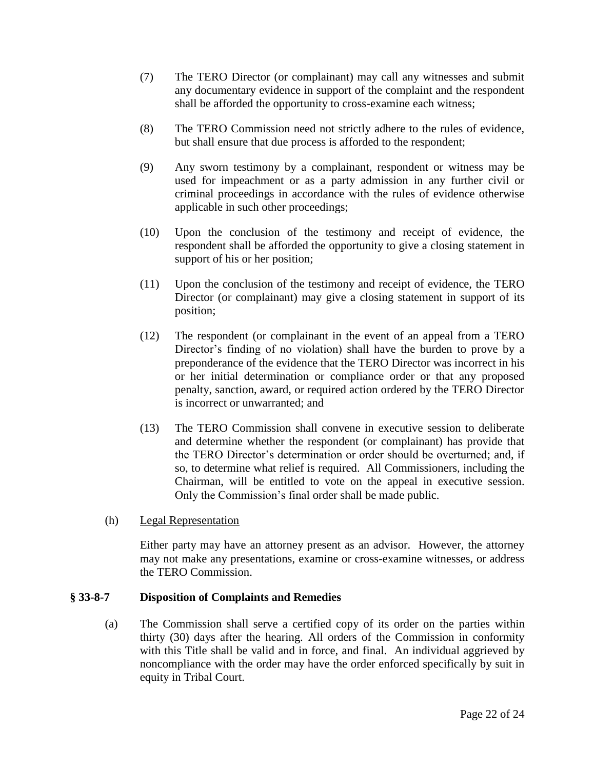- (7) The TERO Director (or complainant) may call any witnesses and submit any documentary evidence in support of the complaint and the respondent shall be afforded the opportunity to cross-examine each witness;
- (8) The TERO Commission need not strictly adhere to the rules of evidence, but shall ensure that due process is afforded to the respondent;
- (9) Any sworn testimony by a complainant, respondent or witness may be used for impeachment or as a party admission in any further civil or criminal proceedings in accordance with the rules of evidence otherwise applicable in such other proceedings;
- (10) Upon the conclusion of the testimony and receipt of evidence, the respondent shall be afforded the opportunity to give a closing statement in support of his or her position;
- (11) Upon the conclusion of the testimony and receipt of evidence, the TERO Director (or complainant) may give a closing statement in support of its position;
- (12) The respondent (or complainant in the event of an appeal from a TERO Director's finding of no violation) shall have the burden to prove by a preponderance of the evidence that the TERO Director was incorrect in his or her initial determination or compliance order or that any proposed penalty, sanction, award, or required action ordered by the TERO Director is incorrect or unwarranted; and
- (13) The TERO Commission shall convene in executive session to deliberate and determine whether the respondent (or complainant) has provide that the TERO Director's determination or order should be overturned; and, if so, to determine what relief is required. All Commissioners, including the Chairman, will be entitled to vote on the appeal in executive session. Only the Commission's final order shall be made public.
- (h) Legal Representation

Either party may have an attorney present as an advisor. However, the attorney may not make any presentations, examine or cross-examine witnesses, or address the TERO Commission.

### **§ 33-8-7 Disposition of Complaints and Remedies**

(a) The Commission shall serve a certified copy of its order on the parties within thirty (30) days after the hearing. All orders of the Commission in conformity with this Title shall be valid and in force, and final. An individual aggrieved by noncompliance with the order may have the order enforced specifically by suit in equity in Tribal Court.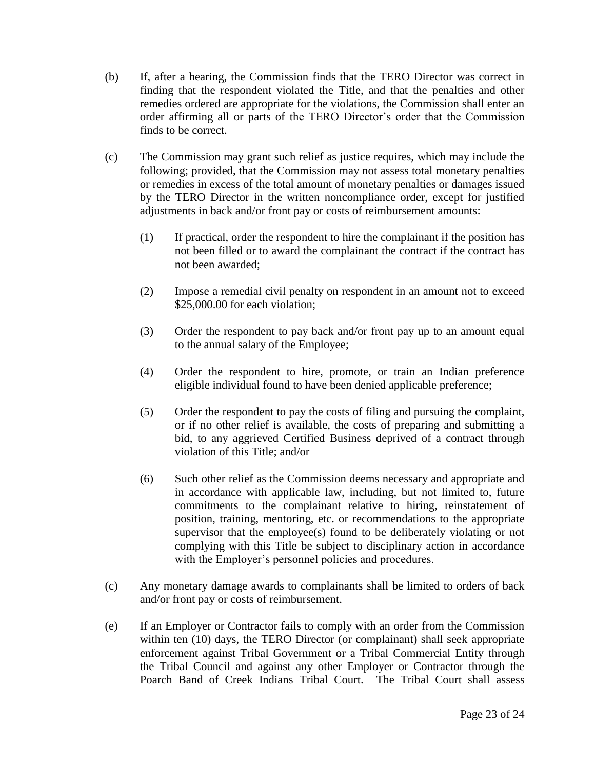- (b) If, after a hearing, the Commission finds that the TERO Director was correct in finding that the respondent violated the Title, and that the penalties and other remedies ordered are appropriate for the violations, the Commission shall enter an order affirming all or parts of the TERO Director's order that the Commission finds to be correct.
- (c) The Commission may grant such relief as justice requires, which may include the following; provided, that the Commission may not assess total monetary penalties or remedies in excess of the total amount of monetary penalties or damages issued by the TERO Director in the written noncompliance order, except for justified adjustments in back and/or front pay or costs of reimbursement amounts:
	- (1) If practical, order the respondent to hire the complainant if the position has not been filled or to award the complainant the contract if the contract has not been awarded;
	- (2) Impose a remedial civil penalty on respondent in an amount not to exceed \$25,000.00 for each violation;
	- (3) Order the respondent to pay back and/or front pay up to an amount equal to the annual salary of the Employee;
	- (4) Order the respondent to hire, promote, or train an Indian preference eligible individual found to have been denied applicable preference;
	- (5) Order the respondent to pay the costs of filing and pursuing the complaint, or if no other relief is available, the costs of preparing and submitting a bid, to any aggrieved Certified Business deprived of a contract through violation of this Title; and/or
	- (6) Such other relief as the Commission deems necessary and appropriate and in accordance with applicable law, including, but not limited to, future commitments to the complainant relative to hiring, reinstatement of position, training, mentoring, etc. or recommendations to the appropriate supervisor that the employee(s) found to be deliberately violating or not complying with this Title be subject to disciplinary action in accordance with the Employer's personnel policies and procedures.
- (c) Any monetary damage awards to complainants shall be limited to orders of back and/or front pay or costs of reimbursement.
- (e) If an Employer or Contractor fails to comply with an order from the Commission within ten (10) days, the TERO Director (or complainant) shall seek appropriate enforcement against Tribal Government or a Tribal Commercial Entity through the Tribal Council and against any other Employer or Contractor through the Poarch Band of Creek Indians Tribal Court. The Tribal Court shall assess